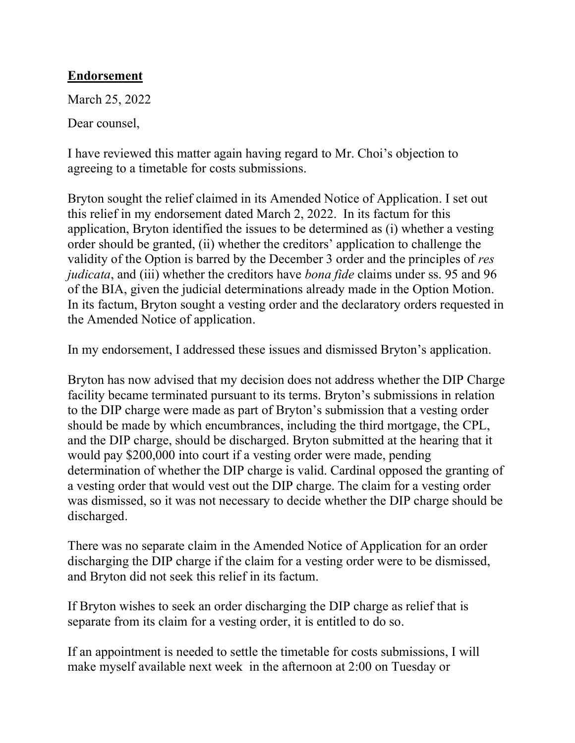## Endorsement

March 25, 2022

Dear counsel,

I have reviewed this matter again having regard to Mr. Choi's objection to agreeing to a timetable for costs submissions.

Bryton sought the relief claimed in its Amended Notice of Application. I set out this relief in my endorsement dated March 2, 2022. In its factum for this application, Bryton identified the issues to be determined as (i) whether a vesting order should be granted, (ii) whether the creditors' application to challenge the validity of the Option is barred by the December 3 order and the principles of res judicata, and (iii) whether the creditors have *bona fide* claims under ss. 95 and 96 of the BIA, given the judicial determinations already made in the Option Motion. In its factum, Bryton sought a vesting order and the declaratory orders requested in the Amended Notice of application.

In my endorsement, I addressed these issues and dismissed Bryton's application.

Bryton has now advised that my decision does not address whether the DIP Charge facility became terminated pursuant to its terms. Bryton's submissions in relation to the DIP charge were made as part of Bryton's submission that a vesting order should be made by which encumbrances, including the third mortgage, the CPL, and the DIP charge, should be discharged. Bryton submitted at the hearing that it would pay \$200,000 into court if a vesting order were made, pending determination of whether the DIP charge is valid. Cardinal opposed the granting of a vesting order that would vest out the DIP charge. The claim for a vesting order was dismissed, so it was not necessary to decide whether the DIP charge should be discharged.

There was no separate claim in the Amended Notice of Application for an order discharging the DIP charge if the claim for a vesting order were to be dismissed, and Bryton did not seek this relief in its factum.

If Bryton wishes to seek an order discharging the DIP charge as relief that is separate from its claim for a vesting order, it is entitled to do so.

If an appointment is needed to settle the timetable for costs submissions, I will make myself available next week in the afternoon at 2:00 on Tuesday or